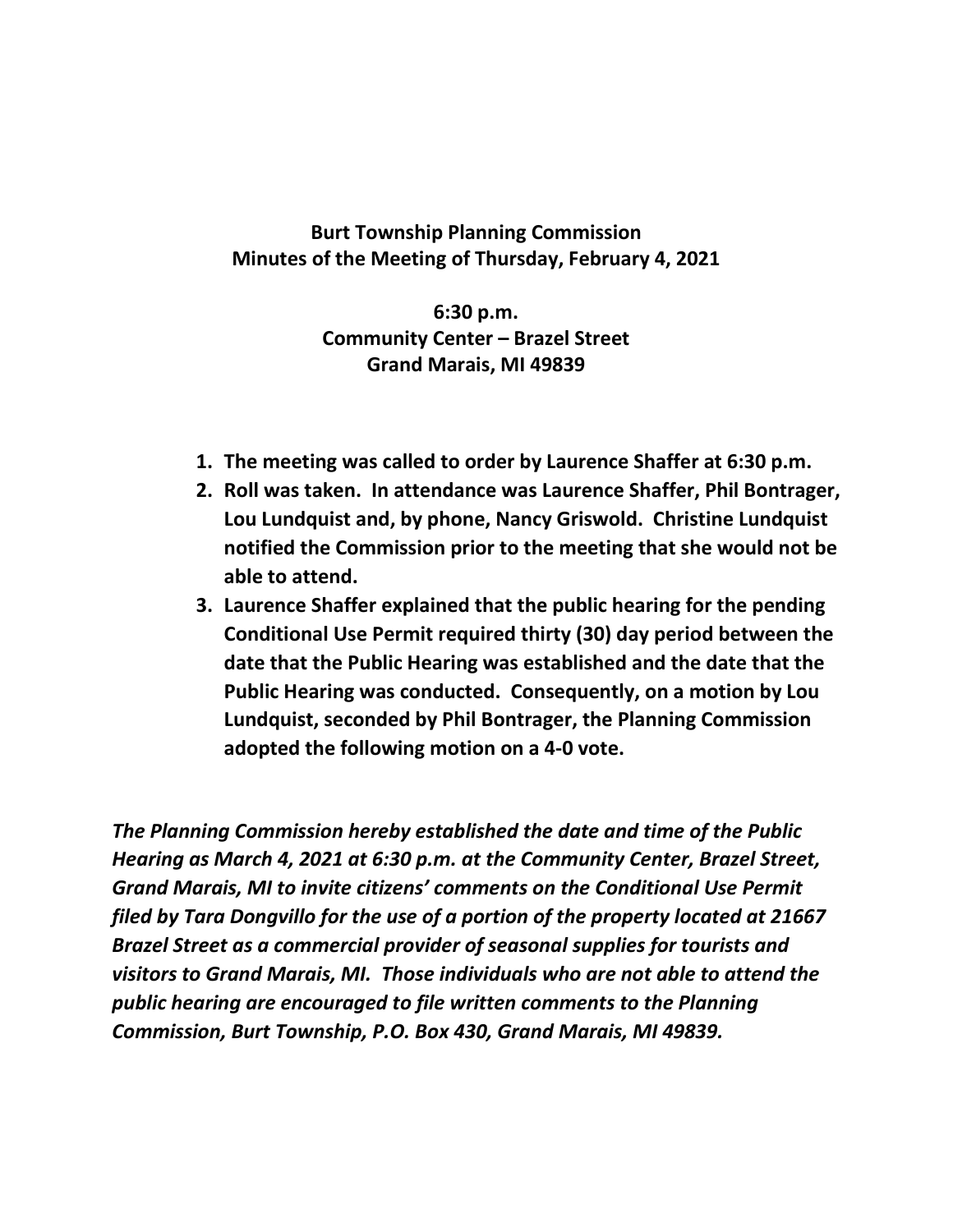**Burt Township Planning Commission Minutes of the Meeting of Thursday, February 4, 2021**

> **6:30 p.m. Community Center – Brazel Street Grand Marais, MI 49839**

- **1. The meeting was called to order by Laurence Shaffer at 6:30 p.m.**
- **2. Roll was taken. In attendance was Laurence Shaffer, Phil Bontrager, Lou Lundquist and, by phone, Nancy Griswold. Christine Lundquist notified the Commission prior to the meeting that she would not be able to attend.**
- **3. Laurence Shaffer explained that the public hearing for the pending Conditional Use Permit required thirty (30) day period between the date that the Public Hearing was established and the date that the Public Hearing was conducted. Consequently, on a motion by Lou Lundquist, seconded by Phil Bontrager, the Planning Commission adopted the following motion on a 4-0 vote.**

*The Planning Commission hereby established the date and time of the Public Hearing as March 4, 2021 at 6:30 p.m. at the Community Center, Brazel Street, Grand Marais, MI to invite citizens' comments on the Conditional Use Permit filed by Tara Dongvillo for the use of a portion of the property located at 21667 Brazel Street as a commercial provider of seasonal supplies for tourists and visitors to Grand Marais, MI. Those individuals who are not able to attend the public hearing are encouraged to file written comments to the Planning Commission, Burt Township, P.O. Box 430, Grand Marais, MI 49839.*